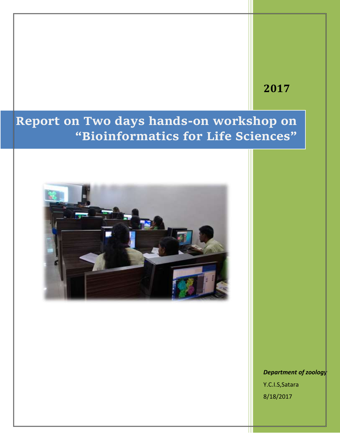## **2017**

## **Report on Two days hands-on workshop on "Bioinformatics for Life Sciences"**



*Department of zoology*  Y.C.I.S,Satara 8/18/2017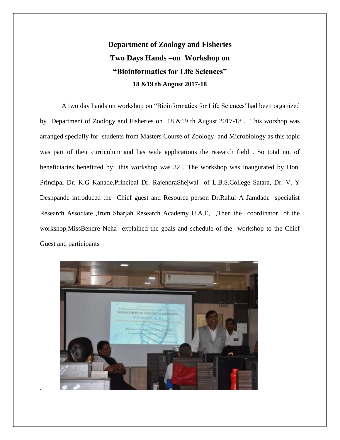## **Department of Zoology and Fisheries Two Days Hands –on Workshop on "Bioinformatics for Life Sciences" 18 &19 th August 2017-18**

A two day hands on workshop on "Bioinformatics for Life Sciences"had been organized by Department of Zoology and Fisheries on 18 &19 th August 2017-18 . This worshop was arranged specially for students from Masters Course of Zoology and Microbiology as this topic was part of their curriculum and has wide applications the research field . So total no. of beneficiaries benefitted by this workshop was 32 . The workshop was inaugurated by Hon. Principal Dr. K.G Kanade,Principal Dr. RajendraShejwal of L.B.S.College Satara, Dr. V. Y Deshpande introduced the Chief guest and Resource person Dr.Rahul A Jamdade specialist Research Associate ,from Sharjah Research Academy U.A.E, ,Then the coordinator of the workshop,MissBendre Neha explained the goals and schedule of the workshop to the Chief Guest and participants



.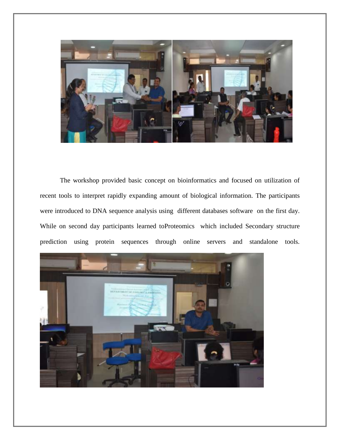

The workshop provided basic concept on bioinformatics and focused on utilization of recent tools to interpret rapidly expanding amount of biological information. The participants were introduced to DNA sequence analysis using different databases software on the first day. While on second day participants learned toProteomics which included Secondary structure prediction using protein sequences through online servers and standalone tools.